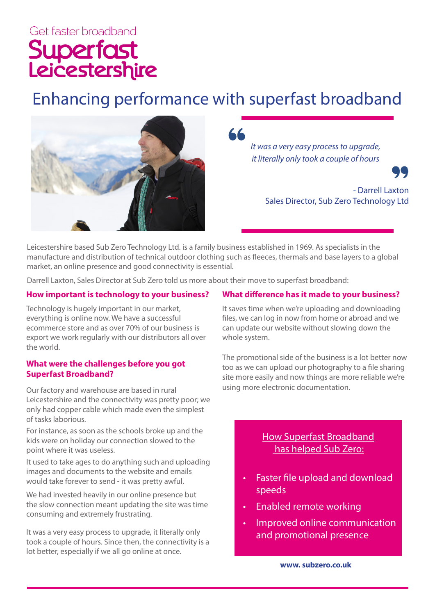# Superfast<br>Leicestershire

## Enhancing performance with superfast broadband



*It was a very easy process to upgrade, it literally only took a couple of hours*



- Darrell Laxton Sales Director, Sub Zero Technology Ltd

Leicestershire based Sub Zero Technology Ltd. is a family business established in 1969. As specialists in the manufacture and distribution of technical outdoor clothing such as fleeces, thermals and base layers to a global market, an online presence and good connectivity is essential.

Darrell Laxton, Sales Director at Sub Zero told us more about their move to superfast broadband:

#### **How important is technology to your business?**

Technology is hugely important in our market, everything is online now. We have a successful ecommerce store and as over 70% of our business is export we work regularly with our distributors all over the world.

#### **What were the challenges before you got Superfast Broadband?**

Our factory and warehouse are based in rural Leicestershire and the connectivity was pretty poor; we only had copper cable which made even the simplest of tasks laborious.

For instance, as soon as the schools broke up and the kids were on holiday our connection slowed to the point where it was useless.

It used to take ages to do anything such and uploading images and documents to the website and emails would take forever to send - it was pretty awful.

We had invested heavily in our online presence but the slow connection meant updating the site was time consuming and extremely frustrating.

It was a very easy process to upgrade, it literally only took a couple of hours. Since then, the connectivity is a lot better, especially if we all go online at once.

#### **What difference has it made to your business?**

It saves time when we're uploading and downloading files, we can log in now from home or abroad and we can update our website without slowing down the whole system.

The promotional side of the business is a lot better now too as we can upload our photography to a file sharing site more easily and now things are more reliable we're using more electronic documentation.

### How Superfast Broadband has helped Sub Zero:

- Faster file upload and download speeds
- Enabled remote working
- Improved online communication and promotional presence

**www. subzero.co.uk**